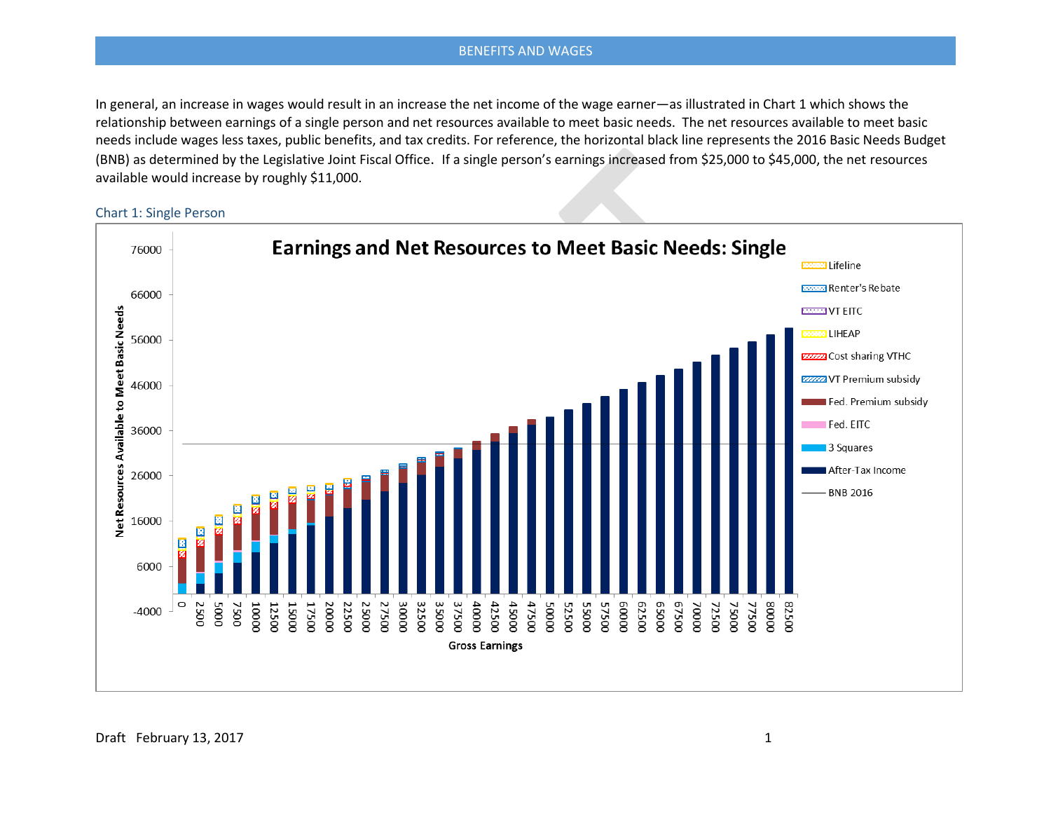In general, an increase in wages would result in an increase the net income of the wage earner—as illustrated in Chart 1 which shows the relationship between earnings of a single person and net resources available to meet basic needs. The net resources available to meet basic needs include wages less taxes, public benefits, and tax credits. For reference, the horizontal black line represents the 2016 Basic Needs Budget (BNB) as determined by the Legislative Joint Fiscal Office. If a single person's earnings increased from \$25,000 to \$45,000, the net resources available would increase by roughly \$11,000.

Chart 1: Single Person

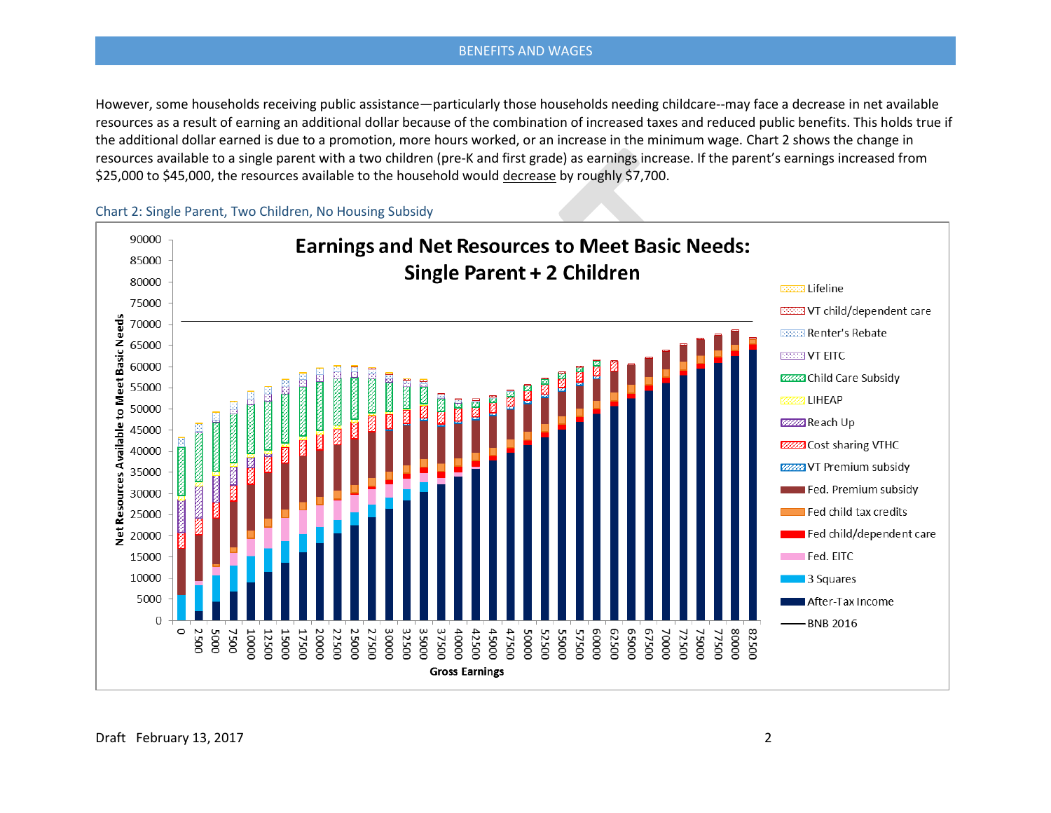However, some households receiving public assistance—particularly those households needing childcare--may face a decrease in net available resources as a result of earning an additional dollar because of the combination of increased taxes and reduced public benefits. This holds true if the additional dollar earned is due to a promotion, more hours worked, or an increase in the minimum wage. Chart 2 shows the change in resources available to a single parent with a two children (pre-K and first grade) as earnings increase. If the parent's earnings increased from \$25,000 to \$45,000, the resources available to the household would decrease by roughly \$7,700.

Chart 2: Single Parent, Two Children, No Housing Subsidy

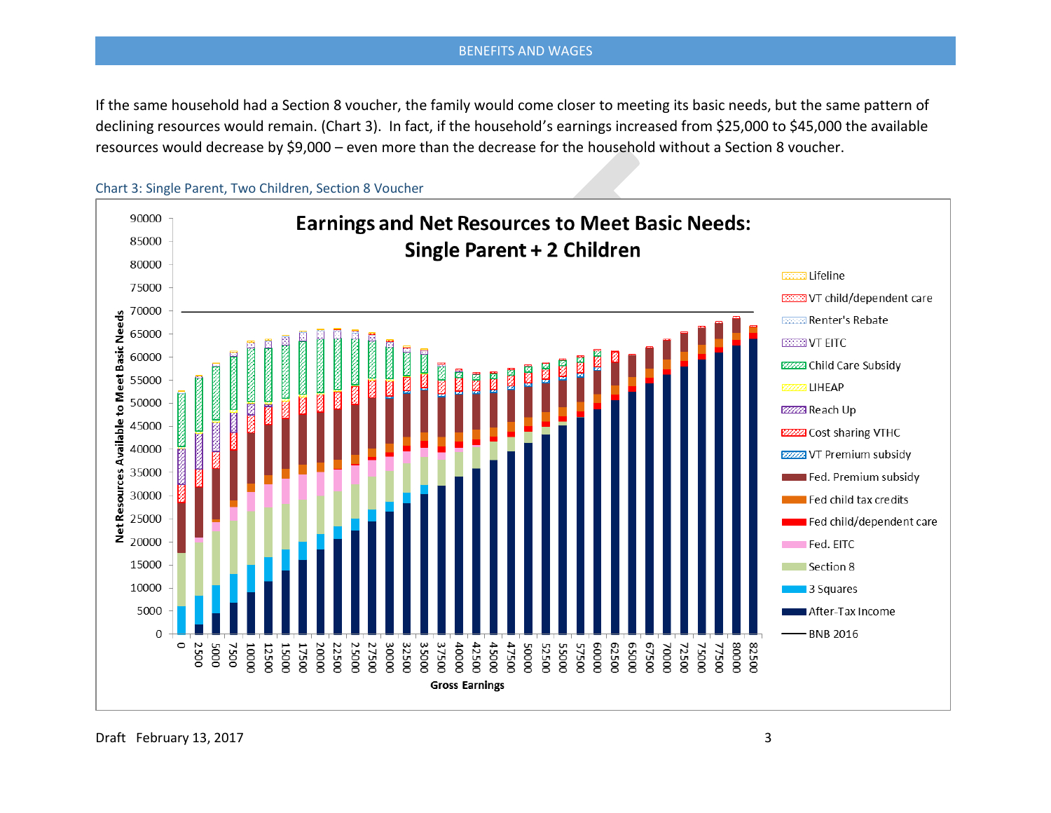If the same household had a Section 8 voucher, the family would come closer to meeting its basic needs, but the same pattern of declining resources would remain. (Chart 3). In fact, if the household's earnings increased from \$25,000 to \$45,000 the available resources would decrease by \$9,000 – even more than the decrease for the household without a Section 8 voucher.





Draft February 13, 2017 3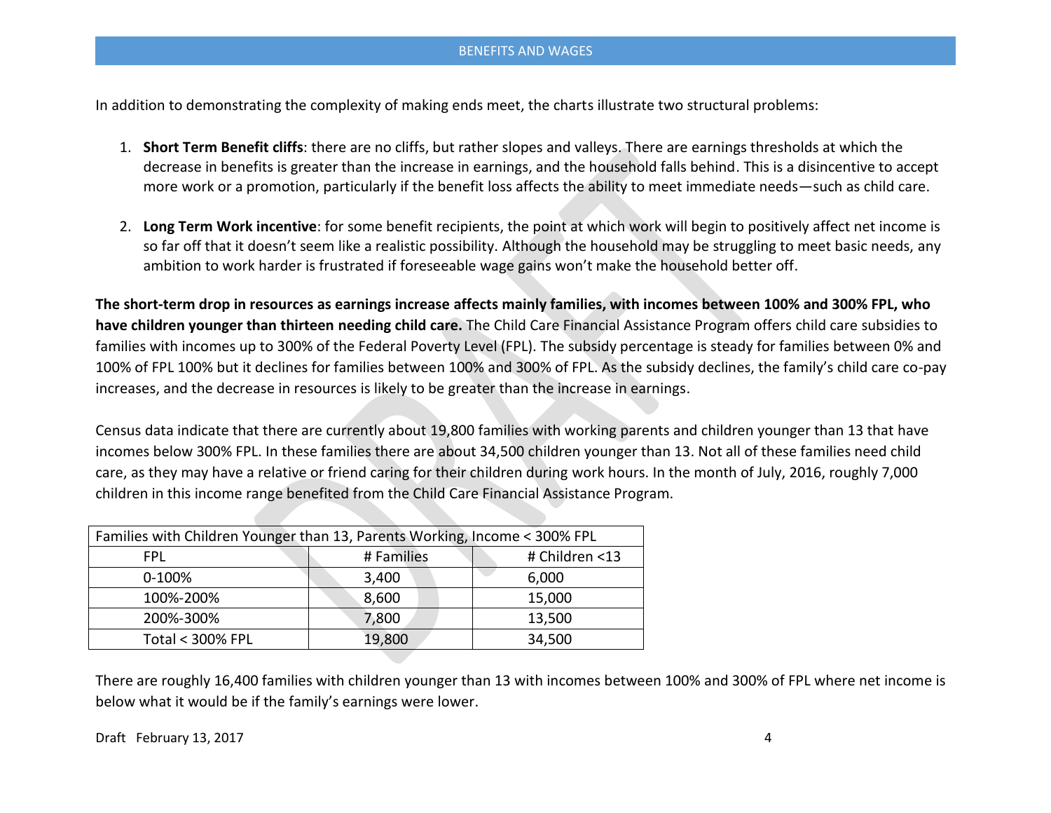In addition to demonstrating the complexity of making ends meet, the charts illustrate two structural problems:

- 1. **Short Term Benefit cliffs**: there are no cliffs, but rather slopes and valleys. There are earnings thresholds at which the decrease in benefits is greater than the increase in earnings, and the household falls behind. This is a disincentive to accept more work or a promotion, particularly if the benefit loss affects the ability to meet immediate needs—such as child care.
- 2. **Long Term Work incentive**: for some benefit recipients, the point at which work will begin to positively affect net income is so far off that it doesn't seem like a realistic possibility. Although the household may be struggling to meet basic needs, any ambition to work harder is frustrated if foreseeable wage gains won't make the household better off.

**The short-term drop in resources as earnings increase affects mainly families, with incomes between 100% and 300% FPL, who have children younger than thirteen needing child care.** The Child Care Financial Assistance Program offers child care subsidies to families with incomes up to 300% of the Federal Poverty Level (FPL). The subsidy percentage is steady for families between 0% and 100% of FPL 100% but it declines for families between 100% and 300% of FPL. As the subsidy declines, the family's child care co-pay increases, and the decrease in resources is likely to be greater than the increase in earnings.

Census data indicate that there are currently about 19,800 families with working parents and children younger than 13 that have incomes below 300% FPL. In these families there are about 34,500 children younger than 13. Not all of these families need child care, as they may have a relative or friend caring for their children during work hours. In the month of July, 2016, roughly 7,000 children in this income range benefited from the Child Care Financial Assistance Program.

| Families with Children Younger than 13, Parents Working, Income < 300% FPL |            |                |
|----------------------------------------------------------------------------|------------|----------------|
| <b>FPL</b>                                                                 | # Families | # Children <13 |
| 0-100%                                                                     | 3,400      | 6,000          |
| 100%-200%                                                                  | 8,600      | 15,000         |
| 200%-300%                                                                  | 7,800      | 13,500         |
| <b>Total &lt; 300% FPL</b>                                                 | 19,800     | 34,500         |

There are roughly 16,400 families with children younger than 13 with incomes between 100% and 300% of FPL where net income is below what it would be if the family's earnings were lower.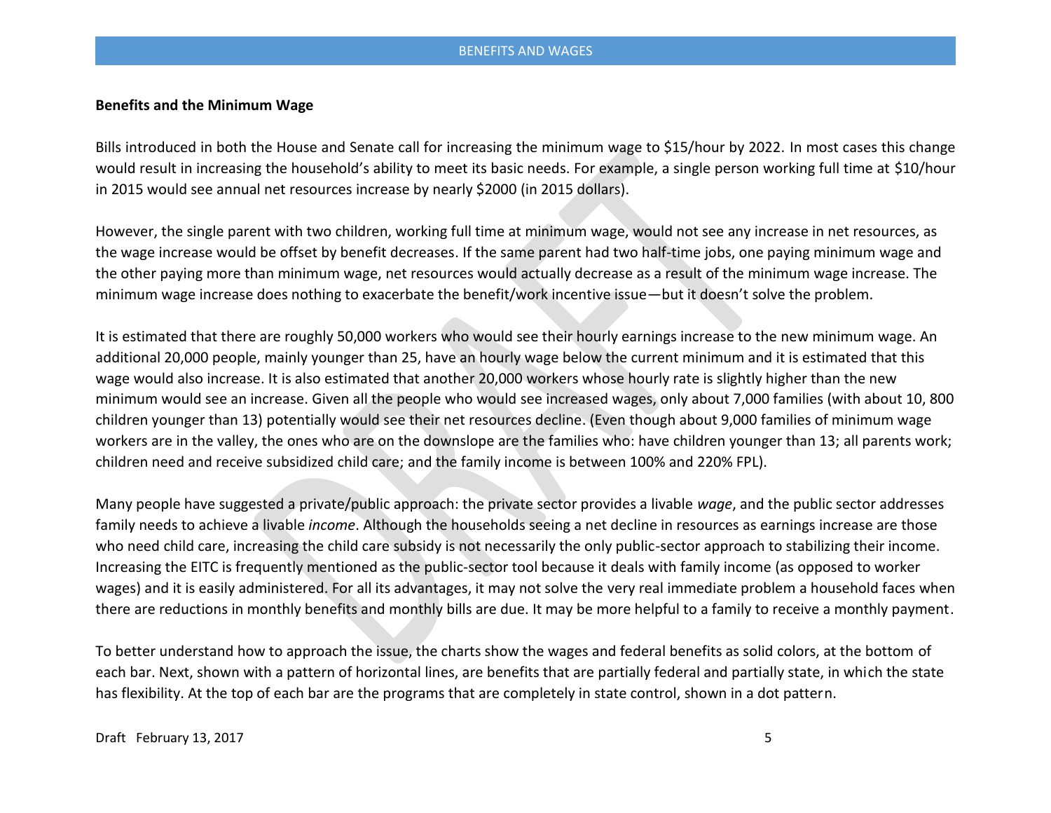# **Benefits and the Minimum Wage**

Bills introduced in both the House and Senate call for increasing the minimum wage to \$15/hour by 2022. In most cases this change would result in increasing the household's ability to meet its basic needs. For example, a single person working full time at \$10/hour in 2015 would see annual net resources increase by nearly \$2000 (in 2015 dollars).

However, the single parent with two children, working full time at minimum wage, would not see any increase in net resources, as the wage increase would be offset by benefit decreases. If the same parent had two half-time jobs, one paying minimum wage and the other paying more than minimum wage, net resources would actually decrease as a result of the minimum wage increase. The minimum wage increase does nothing to exacerbate the benefit/work incentive issue—but it doesn't solve the problem.

It is estimated that there are roughly 50,000 workers who would see their hourly earnings increase to the new minimum wage. An additional 20,000 people, mainly younger than 25, have an hourly wage below the current minimum and it is estimated that this wage would also increase. It is also estimated that another 20,000 workers whose hourly rate is slightly higher than the new minimum would see an increase. Given all the people who would see increased wages, only about 7,000 families (with about 10, 800 children younger than 13) potentially would see their net resources decline. (Even though about 9,000 families of minimum wage workers are in the valley, the ones who are on the downslope are the families who: have children younger than 13; all parents work; children need and receive subsidized child care; and the family income is between 100% and 220% FPL).

Many people have suggested a private/public approach: the private sector provides a livable *wage*, and the public sector addresses family needs to achieve a livable *income*. Although the households seeing a net decline in resources as earnings increase are those who need child care, increasing the child care subsidy is not necessarily the only public-sector approach to stabilizing their income. Increasing the EITC is frequently mentioned as the public-sector tool because it deals with family income (as opposed to worker wages) and it is easily administered. For all its advantages, it may not solve the very real immediate problem a household faces when there are reductions in monthly benefits and monthly bills are due. It may be more helpful to a family to receive a monthly payment.

To better understand how to approach the issue, the charts show the wages and federal benefits as solid colors, at the bottom of each bar. Next, shown with a pattern of horizontal lines, are benefits that are partially federal and partially state, in which the state has flexibility. At the top of each bar are the programs that are completely in state control, shown in a dot pattern.